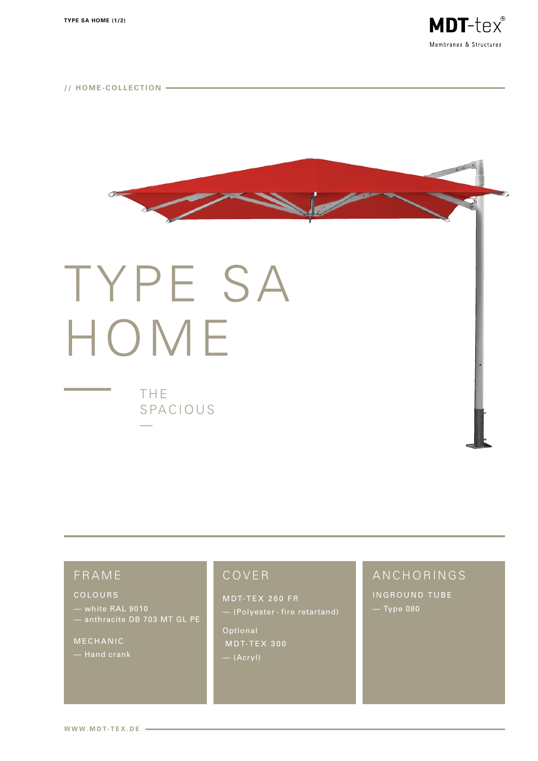



# TYPE SA HOME

THE SPACIOUS

# FRAME

#### COLOURS

- white RAL 9010 — white nAL 3010<br>— anthracite DB 703 MT GL PE

MECHANIC

## COVER

MDT-TEX 260 FR

- (Polyester - fire retartand)

Optional MDT-TEX 300  $-$  (Acryl)

# ANCHORINGS

INGROUND TUBE — Туре 080